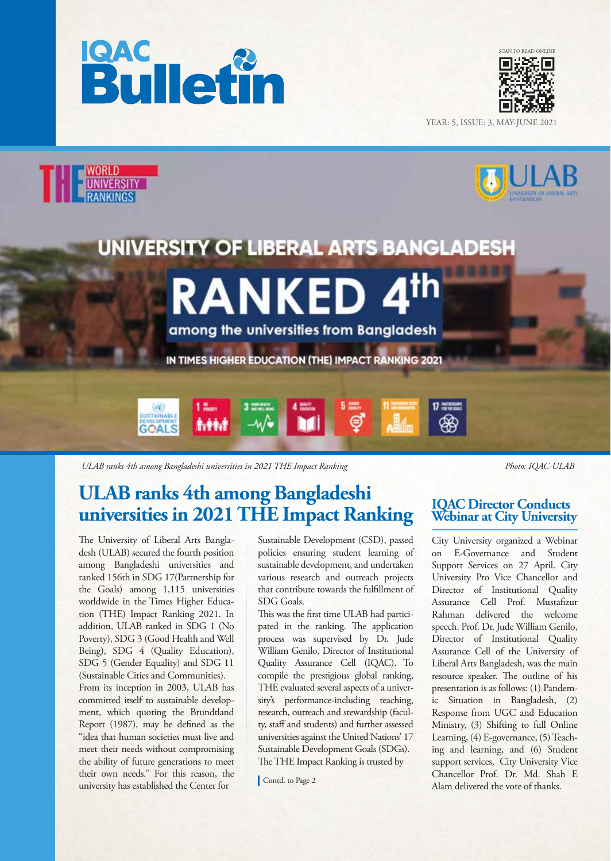





*ULAB ranks 4th among Bangladeshi universities in 2021 THE Impact Ranking Photo: IQAC-ULAB*

## **ULAB ranks 4th among Bangladeshi universities in 2021 THE Impact Ranking IQAC Director Conducts**

The University of Liberal Arts Bangladesh (ULAB) secured the fourth position among Bangladeshi universities and ranked 156th in SDG 17(Partnership for the Goals) among 1,115 universities worldwide in the Times Higher Education (THE) Impact Ranking 2021. In addition, ULAB ranked in SDG 1 (No Poverty), SDG 3 (Good Health and Well Being), SDG 4 (Quality Education), SDG 5 (Gender Equality) and SDG 11 (Sustainable Cities and Communities). From its inception in 2003, ULAB has committed itself to sustainable development, which quoting the Brundtland Report (1987), may be defined as the "idea that human societies must live and meet their needs without compromising the ability of future generations to meet their own needs." For this reason, the university has established the Center for

Sustainable Development (CSD), passed policies ensuring student learning of sustainable development, and undertaken various research and outreach projects that contribute towards the fulllment of SDG Goals.

This was the first time ULAB had participated in the ranking. The application process was supervised by Dr. Jude William Genilo, Director of Institutional Quality Assurance Cell (IQAC). To compile the prestigious global ranking, THE evaluated several aspects of a university's performance-including teaching, research, outreach and stewardship (faculty, staff and students) and further assessed universities against the United Nations' 17 Sustainable Development Goals (SDGs). The THE Impact Ranking is trusted by

# **Webinar at City University**

City University organized a Webinar on E-Governance and Student Support Services on 27 April. City University Pro Vice Chancellor and Director of Institutional Quality Assurance Cell Prof. Mustafizur Rahman delivered the welcome speech. Prof. Dr. Jude William Genilo, Director of Institutional Quality Assurance Cell of the University of Liberal Arts Bangladesh, was the main resource speaker. The outline of his presentation is as follows: (1) Pandemic Situation in Bangladesh, (2) Response from UGC and Education Ministry, (3) Shifting to full Online Learning, (4) E-governance, (5) Teaching and learning, and (6) Student support services. City University Vice Chancellor Prof. Dr. Md. Shah E Contd. to Page 2<br>Alam delivered the vote of thanks.